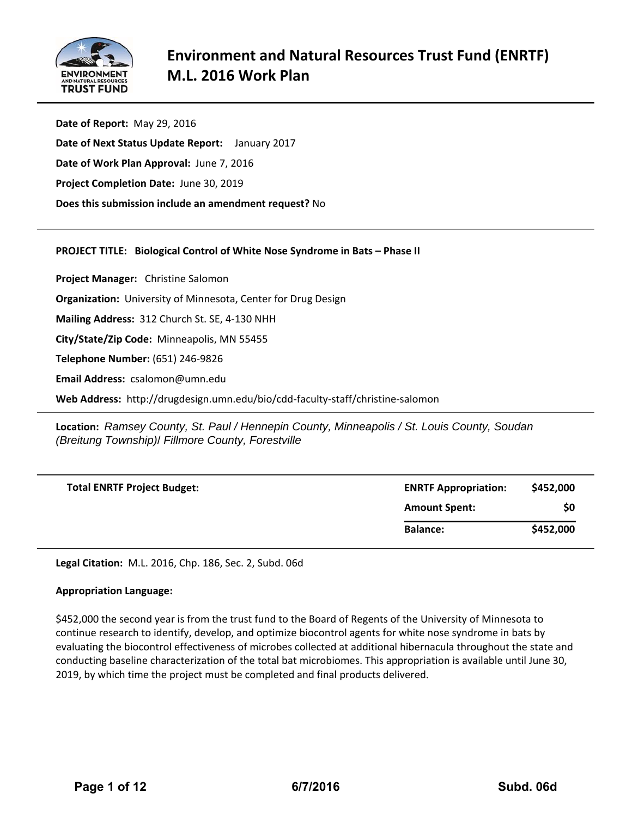

**Date of Report:** May 29, 2016 **Date of Next Status Update Report:**  January 2017 **Date of Work Plan Approval:** June 7, 2016 **Project Completion Date:** June 30, 2019 **Does this submission include an amendment request?** No

### **PROJECT TITLE: Biological Control of White Nose Syndrome in Bats – Phase II**

**Project Manager:**  Christine Salomon **Organization:** University of Minnesota, Center for Drug Design **Mailing Address:** 312 Church St. SE, 4‐130 NHH **City/State/Zip Code:** Minneapolis, MN 55455 **Telephone Number:** (651) 246‐9826 **Email Address:** csalomon@umn.edu

**Web Address:** http://drugdesign.umn.edu/bio/cdd‐faculty‐staff/christine‐salomon

**Location:** *Ramsey County, St. Paul / Hennepin County, Minneapolis / St. Louis County, Soudan (Breitung Township)*/ *Fillmore County, Forestville* 

| <b>Total ENRTF Project Budget:</b> | <b>ENRTF Appropriation:</b> | \$452,000 |
|------------------------------------|-----------------------------|-----------|
|                                    | <b>Amount Spent:</b>        | \$0       |
|                                    | <b>Balance:</b>             | \$452,000 |

**Legal Citation:** M.L. 2016, Chp. 186, Sec. 2, Subd. 06d

### **Appropriation Language:**

\$452,000 the second year is from the trust fund to the Board of Regents of the University of Minnesota to continue research to identify, develop, and optimize biocontrol agents for white nose syndrome in bats by evaluating the biocontrol effectiveness of microbes collected at additional hibernacula throughout the state and conducting baseline characterization of the total bat microbiomes. This appropriation is available until June 30, 2019, by which time the project must be completed and final products delivered.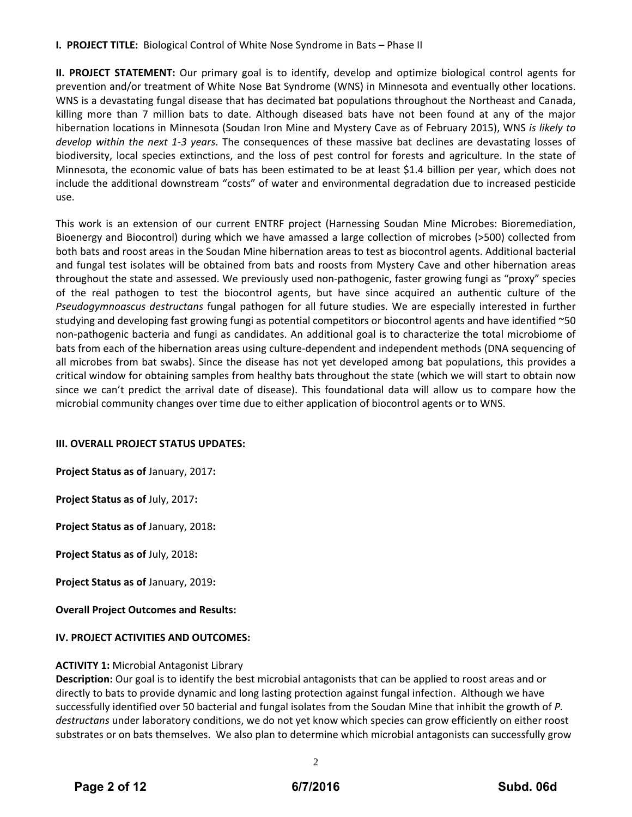## **I. PROJECT TITLE:** Biological Control of White Nose Syndrome in Bats – Phase II

**II. PROJECT STATEMENT:** Our primary goal is to identify, develop and optimize biological control agents for prevention and/or treatment of White Nose Bat Syndrome (WNS) in Minnesota and eventually other locations. WNS is a devastating fungal disease that has decimated bat populations throughout the Northeast and Canada, killing more than 7 million bats to date. Although diseased bats have not been found at any of the major hibernation locations in Minnesota (Soudan Iron Mine and Mystery Cave as of February 2015), WNS *is likely to develop within the next 1‐3 years*. The consequences of these massive bat declines are devastating losses of biodiversity, local species extinctions, and the loss of pest control for forests and agriculture. In the state of Minnesota, the economic value of bats has been estimated to be at least \$1.4 billion per year, which does not include the additional downstream "costs" of water and environmental degradation due to increased pesticide use.

This work is an extension of our current ENTRF project (Harnessing Soudan Mine Microbes: Bioremediation, Bioenergy and Biocontrol) during which we have amassed a large collection of microbes (>500) collected from both bats and roost areas in the Soudan Mine hibernation areas to test as biocontrol agents. Additional bacterial and fungal test isolates will be obtained from bats and roosts from Mystery Cave and other hibernation areas throughout the state and assessed. We previously used non‐pathogenic, faster growing fungi as "proxy" species of the real pathogen to test the biocontrol agents, but have since acquired an authentic culture of the *Pseudogymnoascus destructans* fungal pathogen for all future studies. We are especially interested in further studying and developing fast growing fungi as potential competitors or biocontrol agents and have identified ~50 non‐pathogenic bacteria and fungi as candidates. An additional goal is to characterize the total microbiome of bats from each of the hibernation areas using culture‐dependent and independent methods (DNA sequencing of all microbes from bat swabs). Since the disease has not yet developed among bat populations, this provides a critical window for obtaining samples from healthy bats throughout the state (which we will start to obtain now since we can't predict the arrival date of disease). This foundational data will allow us to compare how the microbial community changes over time due to either application of biocontrol agents or to WNS.

#### **III. OVERALL PROJECT STATUS UPDATES:**

**Project Status as of** January, 2017**:**

**Project Status as of** July, 2017**:**

**Project Status as of** January, 2018**:**

**Project Status as of** July, 2018**:**

**Project Status as of** January, 2019**:**

**Overall Project Outcomes and Results:**

#### **IV. PROJECT ACTIVITIES AND OUTCOMES:**

#### **ACTIVITY 1:** Microbial Antagonist Library

**Description:** Our goal is to identify the best microbial antagonists that can be applied to roost areas and or directly to bats to provide dynamic and long lasting protection against fungal infection. Although we have successfully identified over 50 bacterial and fungal isolates from the Soudan Mine that inhibit the growth of *P. destructans* under laboratory conditions, we do not yet know which species can grow efficiently on either roost substrates or on bats themselves. We also plan to determine which microbial antagonists can successfully grow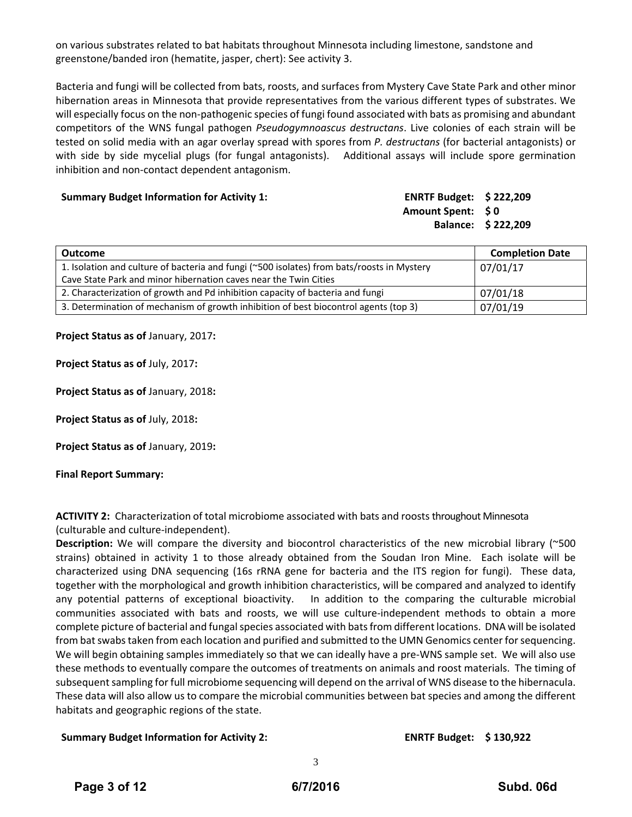on various substrates related to bat habitats throughout Minnesota including limestone, sandstone and greenstone/banded iron (hematite, jasper, chert): See activity 3.

Bacteria and fungi will be collected from bats, roosts, and surfaces from Mystery Cave State Park and other minor hibernation areas in Minnesota that provide representatives from the various different types of substrates. We will especially focus on the non-pathogenic species of fungi found associated with bats as promising and abundant competitors of the WNS fungal pathogen *Pseudogymnoascus destructans*. Live colonies of each strain will be tested on solid media with an agar overlay spread with spores from *P. destructans* (for bacterial antagonists) or with side by side mycelial plugs (for fungal antagonists). Additional assays will include spore germination inhibition and non‐contact dependent antagonism.

#### **Summary Budget Information for Activity 1:**

| <b>ENRTF Budget:</b> | \$222,209 |
|----------------------|-----------|
| <b>Amount Spent:</b> | $\bm{50}$ |
| <b>Balance:</b>      | \$222,209 |

| <b>Outcome</b>                                                                             | <b>Completion Date</b> |
|--------------------------------------------------------------------------------------------|------------------------|
| 1. Isolation and culture of bacteria and fungi (~500 isolates) from bats/roosts in Mystery | 07/01/17               |
| Cave State Park and minor hibernation caves near the Twin Cities                           |                        |
| 2. Characterization of growth and Pd inhibition capacity of bacteria and fungi             | 07/01/18               |
| 3. Determination of mechanism of growth inhibition of best biocontrol agents (top 3)       | 07/01/19               |

**Project Status as of** January, 2017**:**

**Project Status as of** July, 2017**:**

**Project Status as of** January, 2018**:**

**Project Status as of** July, 2018**:**

**Project Status as of** January, 2019**:**

#### **Final Report Summary:**

**ACTIVITY 2:** Characterization of total microbiome associated with bats and roosts throughout Minnesota (culturable and culture‐independent).

**Description:** We will compare the diversity and biocontrol characteristics of the new microbial library (~500 strains) obtained in activity 1 to those already obtained from the Soudan Iron Mine. Each isolate will be characterized using DNA sequencing (16s rRNA gene for bacteria and the ITS region for fungi). These data, together with the morphological and growth inhibition characteristics, will be compared and analyzed to identify any potential patterns of exceptional bioactivity. In addition to the comparing the culturable microbial communities associated with bats and roosts, we will use culture-independent methods to obtain a more complete picture of bacterial and fungal species associated with bats from different locations. DNA will be isolated from bat swabs taken from each location and purified and submitted to the UMN Genomics center for sequencing. We will begin obtaining samples immediately so that we can ideally have a pre-WNS sample set. We will also use these methods to eventually compare the outcomes of treatments on animals and roost materials. The timing of subsequent sampling for full microbiome sequencing will depend on the arrival of WNS disease to the hibernacula. These data will also allow us to compare the microbial communities between bat species and among the different habitats and geographic regions of the state.

#### **Summary Budget Information for Activity 2: ENRTF Budget: \$ 130,922**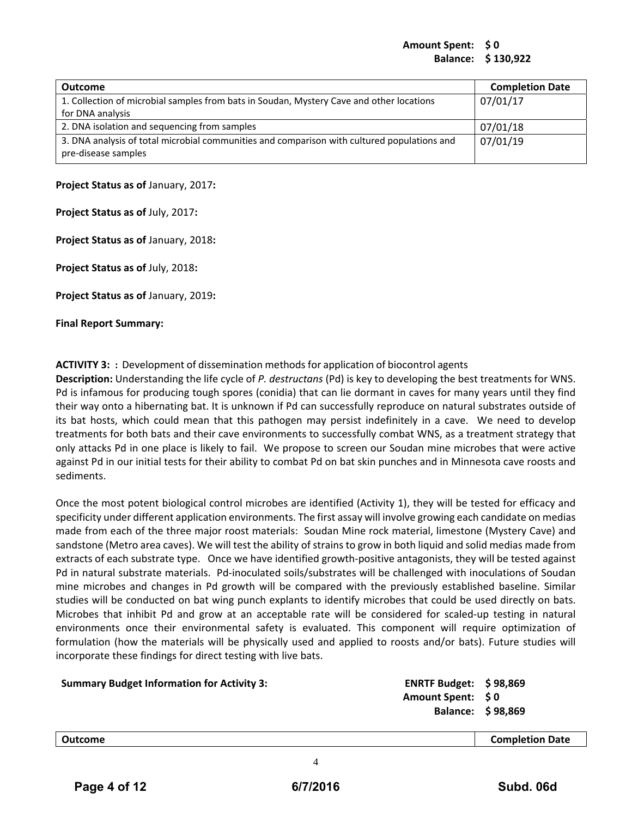#### **Amount Spent: \$ 0 Balance: \$ 130,922**

| <b>Outcome</b>                                                                                                     | <b>Completion Date</b> |
|--------------------------------------------------------------------------------------------------------------------|------------------------|
| 1. Collection of microbial samples from bats in Soudan, Mystery Cave and other locations                           | 07/01/17               |
| for DNA analysis                                                                                                   |                        |
| 2. DNA isolation and sequencing from samples                                                                       | 07/01/18               |
| 3. DNA analysis of total microbial communities and comparison with cultured populations and<br>pre-disease samples | 07/01/19               |

#### **Project Status as of** January, 2017**:**

**Project Status as of** July, 2017**:**

**Project Status as of** January, 2018**:**

**Project Status as of** July, 2018**:**

**Project Status as of** January, 2019**:**

**Final Report Summary:**

### **ACTIVITY 3:** : Development of dissemination methods for application of biocontrol agents

**Description:** Understanding the life cycle of *P. destructans* (Pd) is key to developing the best treatments for WNS. Pd is infamous for producing tough spores (conidia) that can lie dormant in caves for many years until they find their way onto a hibernating bat. It is unknown if Pd can successfully reproduce on natural substrates outside of its bat hosts, which could mean that this pathogen may persist indefinitely in a cave. We need to develop treatments for both bats and their cave environments to successfully combat WNS, as a treatment strategy that only attacks Pd in one place is likely to fail. We propose to screen our Soudan mine microbes that were active against Pd in our initial tests for their ability to combat Pd on bat skin punches and in Minnesota cave roosts and sediments.

Once the most potent biological control microbes are identified (Activity 1), they will be tested for efficacy and specificity under different application environments. The first assay will involve growing each candidate on medias made from each of the three major roost materials: Soudan Mine rock material, limestone (Mystery Cave) and sandstone (Metro area caves). We will test the ability of strains to grow in both liquid and solid medias made from extracts of each substrate type. Once we have identified growth‐positive antagonists, they will be tested against Pd in natural substrate materials. Pd-inoculated soils/substrates will be challenged with inoculations of Soudan mine microbes and changes in Pd growth will be compared with the previously established baseline. Similar studies will be conducted on bat wing punch explants to identify microbes that could be used directly on bats. Microbes that inhibit Pd and grow at an acceptable rate will be considered for scaled‐up testing in natural environments once their environmental safety is evaluated. This component will require optimization of formulation (how the materials will be physically used and applied to roosts and/or bats). Future studies will incorporate these findings for direct testing with live bats.

| <b>Summary Budget Information for Activity 3:</b> | ENRTF Budget: $$98,869$  |  |
|---------------------------------------------------|--------------------------|--|
|                                                   | Amount Spent: \$0        |  |
|                                                   | <b>Balance: \$98,869</b> |  |
|                                                   |                          |  |

#### **Outcome Completion Date**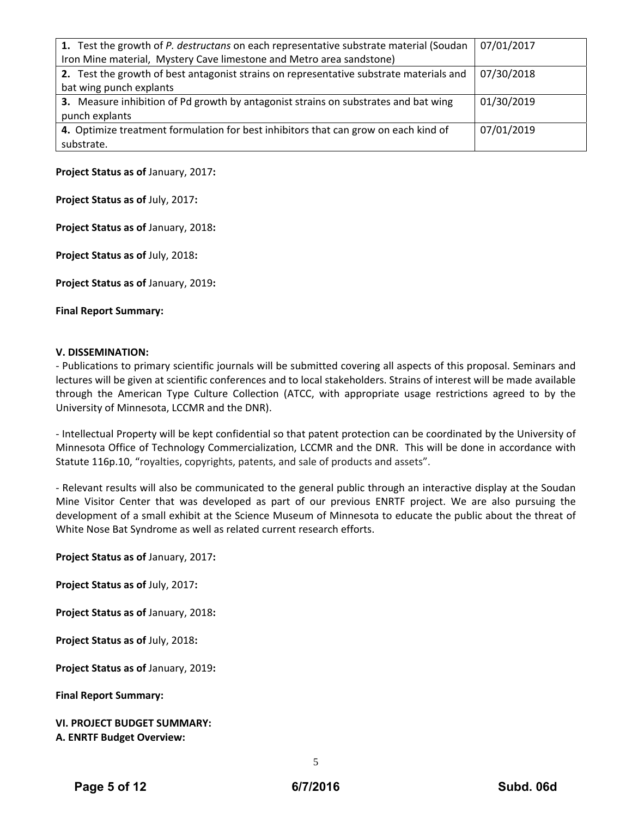| 1. Test the growth of P. destructans on each representative substrate material (Soudan  | 07/01/2017 |
|-----------------------------------------------------------------------------------------|------------|
| Iron Mine material, Mystery Cave limestone and Metro area sandstone)                    |            |
| 2. Test the growth of best antagonist strains on representative substrate materials and | 07/30/2018 |
| bat wing punch explants                                                                 |            |
| 3. Measure inhibition of Pd growth by antagonist strains on substrates and bat wing     | 01/30/2019 |
| punch explants                                                                          |            |
| 4. Optimize treatment formulation for best inhibitors that can grow on each kind of     | 07/01/2019 |
| substrate.                                                                              |            |

**Project Status as of** January, 2017**:**

**Project Status as of** July, 2017**:**

**Project Status as of** January, 2018**:**

**Project Status as of** July, 2018**:**

**Project Status as of** January, 2019**:**

**Final Report Summary:**

#### **V. DISSEMINATION:**

‐ Publications to primary scientific journals will be submitted covering all aspects of this proposal. Seminars and lectures will be given at scientific conferences and to local stakeholders. Strains of interest will be made available through the American Type Culture Collection (ATCC, with appropriate usage restrictions agreed to by the University of Minnesota, LCCMR and the DNR).

‐ Intellectual Property will be kept confidential so that patent protection can be coordinated by the University of Minnesota Office of Technology Commercialization, LCCMR and the DNR. This will be done in accordance with Statute 116p.10, "royalties, copyrights, patents, and sale of products and assets".

‐ Relevant results will also be communicated to the general public through an interactive display at the Soudan Mine Visitor Center that was developed as part of our previous ENRTF project. We are also pursuing the development of a small exhibit at the Science Museum of Minnesota to educate the public about the threat of White Nose Bat Syndrome as well as related current research efforts.

**Project Status as of** January, 2017**:**

**Project Status as of** July, 2017**:**

**Project Status as of** January, 2018**:**

**Project Status as of** July, 2018**:**

**Project Status as of** January, 2019**:**

**Final Report Summary:**

**VI. PROJECT BUDGET SUMMARY:** **A. ENRTF Budget Overview:**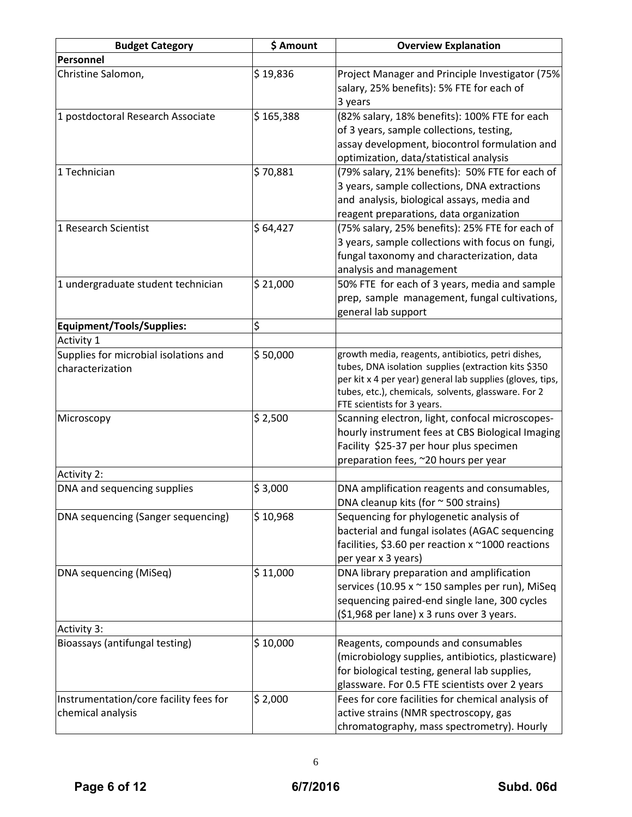| <b>Budget Category</b>                                      | \$ Amount | <b>Overview Explanation</b>                                                                                                                                                                                                                                   |
|-------------------------------------------------------------|-----------|---------------------------------------------------------------------------------------------------------------------------------------------------------------------------------------------------------------------------------------------------------------|
| Personnel                                                   |           |                                                                                                                                                                                                                                                               |
| Christine Salomon,                                          | \$19,836  | Project Manager and Principle Investigator (75%<br>salary, 25% benefits): 5% FTE for each of<br>3 years                                                                                                                                                       |
| 1 postdoctoral Research Associate                           | \$165,388 | (82% salary, 18% benefits): 100% FTE for each<br>of 3 years, sample collections, testing,<br>assay development, biocontrol formulation and<br>optimization, data/statistical analysis                                                                         |
| 1 Technician                                                | \$70,881  | (79% salary, 21% benefits): 50% FTE for each of<br>3 years, sample collections, DNA extractions<br>and analysis, biological assays, media and<br>reagent preparations, data organization                                                                      |
| 1 Research Scientist                                        | \$64,427  | (75% salary, 25% benefits): 25% FTE for each of<br>3 years, sample collections with focus on fungi,<br>fungal taxonomy and characterization, data<br>analysis and management                                                                                  |
| 1 undergraduate student technician                          | \$21,000  | 50% FTE for each of 3 years, media and sample<br>prep, sample management, fungal cultivations,<br>general lab support                                                                                                                                         |
| <b>Equipment/Tools/Supplies:</b>                            | \$        |                                                                                                                                                                                                                                                               |
| <b>Activity 1</b>                                           |           |                                                                                                                                                                                                                                                               |
| Supplies for microbial isolations and<br>characterization   | \$50,000  | growth media, reagents, antibiotics, petri dishes,<br>tubes, DNA isolation supplies (extraction kits \$350<br>per kit x 4 per year) general lab supplies (gloves, tips,<br>tubes, etc.), chemicals, solvents, glassware. For 2<br>FTE scientists for 3 years. |
| Microscopy                                                  | \$2,500   | Scanning electron, light, confocal microscopes-<br>hourly instrument fees at CBS Biological Imaging<br>Facility \$25-37 per hour plus specimen<br>preparation fees, ~20 hours per year                                                                        |
| <b>Activity 2:</b>                                          |           |                                                                                                                                                                                                                                                               |
| DNA and sequencing supplies                                 | \$3,000   | DNA amplification reagents and consumables,<br>DNA cleanup kits (for $\sim$ 500 strains)                                                                                                                                                                      |
| DNA sequencing (Sanger sequencing)                          | \$10,968  | Sequencing for phylogenetic analysis of<br>bacterial and fungal isolates (AGAC sequencing<br>facilities, \$3.60 per reaction x ~1000 reactions<br>per year x 3 years)                                                                                         |
| DNA sequencing (MiSeq)                                      | \$11,000  | DNA library preparation and amplification<br>services (10.95 x ~ 150 samples per run), MiSeq<br>sequencing paired-end single lane, 300 cycles<br>(\$1,968 per lane) x 3 runs over 3 years.                                                                    |
| <b>Activity 3:</b>                                          |           |                                                                                                                                                                                                                                                               |
| Bioassays (antifungal testing)                              | \$10,000  | Reagents, compounds and consumables<br>(microbiology supplies, antibiotics, plasticware)<br>for biological testing, general lab supplies,<br>glassware. For 0.5 FTE scientists over 2 years                                                                   |
| Instrumentation/core facility fees for<br>chemical analysis | \$2,000   | Fees for core facilities for chemical analysis of<br>active strains (NMR spectroscopy, gas<br>chromatography, mass spectrometry). Hourly                                                                                                                      |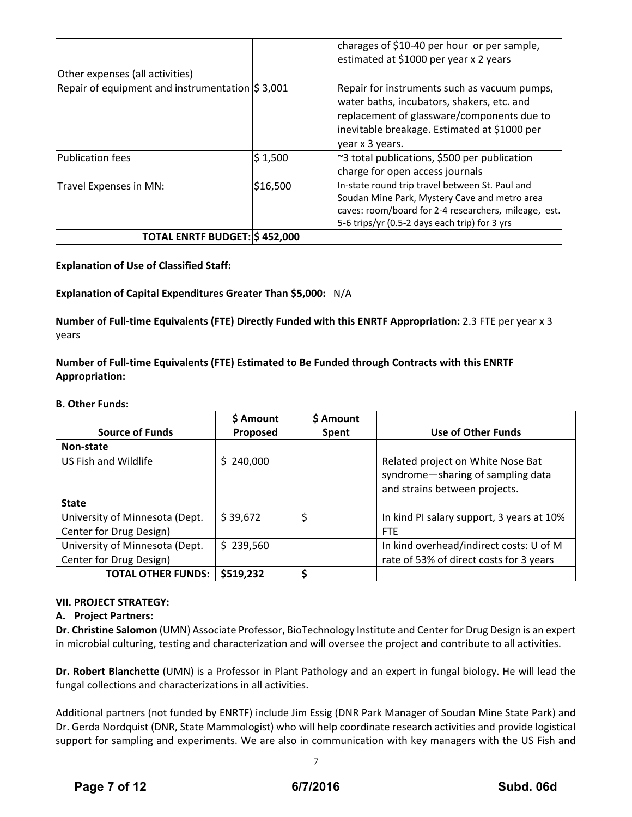|                                                             |          | charages of \$10-40 per hour or per sample,                                                                                                                                                                 |
|-------------------------------------------------------------|----------|-------------------------------------------------------------------------------------------------------------------------------------------------------------------------------------------------------------|
|                                                             |          | estimated at \$1000 per year x 2 years                                                                                                                                                                      |
| Other expenses (all activities)                             |          |                                                                                                                                                                                                             |
| Repair of equipment and instrumentation $\frac{1}{5}$ 3,001 |          | Repair for instruments such as vacuum pumps,<br>water baths, incubators, shakers, etc. and<br>replacement of glassware/components due to<br>inevitable breakage. Estimated at \$1000 per<br>year x 3 years. |
| Publication fees                                            | \$1,500  | ~3 total publications, \$500 per publication<br>charge for open access journals                                                                                                                             |
| Travel Expenses in MN:                                      | \$16,500 | In-state round trip travel between St. Paul and<br>Soudan Mine Park, Mystery Cave and metro area<br>caves: room/board for 2-4 researchers, mileage, est.<br>5-6 trips/yr (0.5-2 days each trip) for 3 yrs   |
| <b>TOTAL ENRTF BUDGET: \$452,000</b>                        |          |                                                                                                                                                                                                             |

**Explanation of Use of Classified Staff:**

**Explanation of Capital Expenditures Greater Than \$5,000:** N/A

**Number of Full‐time Equivalents (FTE) Directly Funded with this ENRTF Appropriation:** 2.3 FTE per year x 3 years

**Number of Full‐time Equivalents (FTE) Estimated to Be Funded through Contracts with this ENRTF Appropriation:**

#### **B. Other Funds:**

|                                | \$ Amount | \$ Amount |                                           |
|--------------------------------|-----------|-----------|-------------------------------------------|
| <b>Source of Funds</b>         | Proposed  | Spent     | <b>Use of Other Funds</b>                 |
| Non-state                      |           |           |                                           |
| US Fish and Wildlife           | \$240,000 |           | Related project on White Nose Bat         |
|                                |           |           | syndrome-sharing of sampling data         |
|                                |           |           | and strains between projects.             |
| <b>State</b>                   |           |           |                                           |
| University of Minnesota (Dept. | \$39,672  | \$        | In kind PI salary support, 3 years at 10% |
| Center for Drug Design)        |           |           | <b>FTE</b>                                |
| University of Minnesota (Dept. | \$239,560 |           | In kind overhead/indirect costs: U of M   |
| Center for Drug Design)        |           |           | rate of 53% of direct costs for 3 years   |
| <b>TOTAL OTHER FUNDS:</b>      | \$519,232 | Ś         |                                           |

### **VII. PROJECT STRATEGY:**

### **A. Project Partners:**

**Dr. Christine Salomon** (UMN) Associate Professor, BioTechnology Institute and Center for Drug Design is an expert in microbial culturing, testing and characterization and will oversee the project and contribute to all activities.

**Dr. Robert Blanchette** (UMN) is a Professor in Plant Pathology and an expert in fungal biology. He will lead the fungal collections and characterizations in all activities.

Additional partners (not funded by ENRTF) include Jim Essig (DNR Park Manager of Soudan Mine State Park) and Dr. Gerda Nordquist (DNR, State Mammologist) who will help coordinate research activities and provide logistical support for sampling and experiments. We are also in communication with key managers with the US Fish and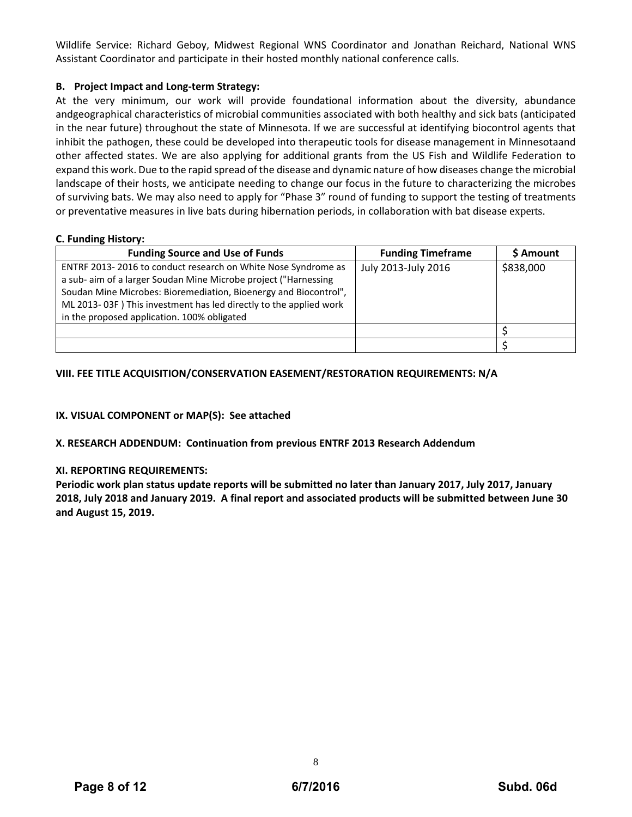Wildlife Service: Richard Geboy, Midwest Regional WNS Coordinator and Jonathan Reichard, National WNS Assistant Coordinator and participate in their hosted monthly national conference calls.

## **B. Project Impact and Long‐term Strategy:**

At the very minimum, our work will provide foundational information about the diversity, abundance andgeographical characteristics of microbial communities associated with both healthy and sick bats (anticipated in the near future) throughout the state of Minnesota. If we are successful at identifying biocontrol agents that inhibit the pathogen, these could be developed into therapeutic tools for disease management in Minnesotaand other affected states. We are also applying for additional grants from the US Fish and Wildlife Federation to expand this work. Due to the rapid spread of the disease and dynamic nature of how diseases change the microbial landscape of their hosts, we anticipate needing to change our focus in the future to characterizing the microbes of surviving bats. We may also need to apply for "Phase 3" round of funding to support the testing of treatments or preventative measures in live bats during hibernation periods, in collaboration with bat disease experts.

### **C. Funding History:**

| <b>Funding Source and Use of Funds</b>                            | <b>Funding Timeframe</b> | \$ Amount |
|-------------------------------------------------------------------|--------------------------|-----------|
| ENTRF 2013-2016 to conduct research on White Nose Syndrome as     | July 2013-July 2016      | \$838,000 |
| a sub- aim of a larger Soudan Mine Microbe project ("Harnessing   |                          |           |
| Soudan Mine Microbes: Bioremediation, Bioenergy and Biocontrol",  |                          |           |
| ML 2013-03F) This investment has led directly to the applied work |                          |           |
| in the proposed application. 100% obligated                       |                          |           |
|                                                                   |                          |           |
|                                                                   |                          |           |

## **VIII. FEE TITLE ACQUISITION/CONSERVATION EASEMENT/RESTORATION REQUIREMENTS: N/A**

## **IX. VISUAL COMPONENT or MAP(S): See attached**

### **X. RESEARCH ADDENDUM: Continuation from previous ENTRF 2013 Research Addendum**

### **XI. REPORTING REQUIREMENTS:**

**Periodic work plan status update reports will be submitted no later than January 2017, July 2017, January** 2018, July 2018 and January 2019. A final report and associated products will be submitted between June 30 **and August 15, 2019.**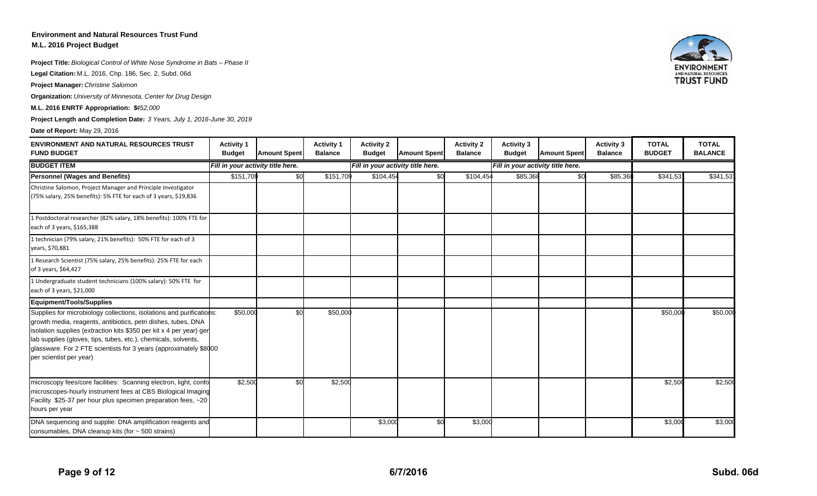## **Environment and Natural Resources Trust Fund**

**M.L. 2016 Project Budget**

**Project Title:** *Biological Control of White Nose Syndrome in Bats – Phase II*

**Legal Citation:** M.L. 2016, Chp. 186, Sec. 2, Subd. 06d

**Project Manager:** *Christine Salomon*

**Organization:** *University of Minnesota, Center for Drug Design*

**M.L. 2016 ENRTF Appropriation: \$452,000** 

**Project Length and Completion Date:** *3 Years, July 1, 2016-June 30, 2019*

#### **Date of Report:** May 29, 2016

| <b>ENVIRONMENT AND NATURAL RESOURCES TRUST</b><br><b>FUND BUDGET</b>                                                                                                                                                                                                                                                                                                           | <b>Activity 1</b><br><b>Budget</b> | <b>Amount Spent</b> | <b>Activity 1</b><br><b>Balance</b> | <b>Activity 2</b><br><b>Budget</b> | <b>Amount Spent</b> | <b>Activity 2</b><br><b>Balance</b> | <b>Activity 3</b><br><b>Budget</b> | <b>Amount Spent</b> | <b>Activity 3</b><br><b>Balance</b> | <b>TOTAL</b><br><b>BUDGET</b> | <b>TOTAL</b><br><b>BALANCE</b> |
|--------------------------------------------------------------------------------------------------------------------------------------------------------------------------------------------------------------------------------------------------------------------------------------------------------------------------------------------------------------------------------|------------------------------------|---------------------|-------------------------------------|------------------------------------|---------------------|-------------------------------------|------------------------------------|---------------------|-------------------------------------|-------------------------------|--------------------------------|
| <b>BUDGET ITEM</b>                                                                                                                                                                                                                                                                                                                                                             | Fill in your activity title here.  |                     |                                     | Fill in your activity title here.  |                     |                                     | Fill in your activity title here.  |                     |                                     |                               |                                |
| <b>Personnel (Wages and Benefits)</b>                                                                                                                                                                                                                                                                                                                                          | \$151,709                          | \$0                 | \$151,709                           | \$104,454                          | \$0                 | \$104,454                           | \$85,368                           | \$0                 | \$85,368                            | \$341,53                      | \$341,53                       |
| Christine Salomon, Project Manager and Principle Investigator<br>(75% salary, 25% benefits): 5% FTE for each of 3 years, \$19,836                                                                                                                                                                                                                                              |                                    |                     |                                     |                                    |                     |                                     |                                    |                     |                                     |                               |                                |
| 1 Postdoctoral researcher (82% salary, 18% benefits): 100% FTE for<br>each of 3 years, \$165,388                                                                                                                                                                                                                                                                               |                                    |                     |                                     |                                    |                     |                                     |                                    |                     |                                     |                               |                                |
| 1 technician (79% salary, 21% benefits): 50% FTE for each of 3<br>years, \$70,881                                                                                                                                                                                                                                                                                              |                                    |                     |                                     |                                    |                     |                                     |                                    |                     |                                     |                               |                                |
| 1 Research Scientist (75% salary, 25% benefits): 25% FTE for each<br>of 3 years, \$64,427                                                                                                                                                                                                                                                                                      |                                    |                     |                                     |                                    |                     |                                     |                                    |                     |                                     |                               |                                |
| 1 Undergraduate student technicians (100% salary): 50% FTE for<br>each of 3 years, \$21,000                                                                                                                                                                                                                                                                                    |                                    |                     |                                     |                                    |                     |                                     |                                    |                     |                                     |                               |                                |
| Equipment/Tools/Supplies                                                                                                                                                                                                                                                                                                                                                       |                                    |                     |                                     |                                    |                     |                                     |                                    |                     |                                     |                               |                                |
| Supplies for microbiology collections, isolations and purifications:<br>growth media, reagents, antibiotics, petri dishes, tubes, DNA<br>isolation supplies (extraction kits \$350 per kit x 4 per year) gen<br>lab supplies (gloves, tips, tubes, etc.), chemicals, solvents,<br>glassware. For 2 FTE scientists for 3 years (approximately \$8000<br>per scientist per year) | \$50,000                           | \$0                 | \$50,000                            |                                    |                     |                                     |                                    |                     |                                     | \$50,00                       | \$50,000                       |
| microscopy fees/core facilities: Scanning electron, light, confo<br>microscopes-hourly instrument fees at CBS Biological Imaging<br>Facility \$25-37 per hour plus specimen preparation fees, ~20<br>hours per year                                                                                                                                                            | \$2,500                            | \$0                 | \$2,500                             |                                    |                     |                                     |                                    |                     |                                     | \$2,50                        | \$2,500                        |
| DNA sequencing and supplie: DNA amplification reagents and<br>consumables, DNA cleanup kits (for ~ 500 strains)                                                                                                                                                                                                                                                                |                                    |                     |                                     | \$3,000                            | \$0                 | \$3,000                             |                                    |                     |                                     | \$3,00                        | \$3,000                        |

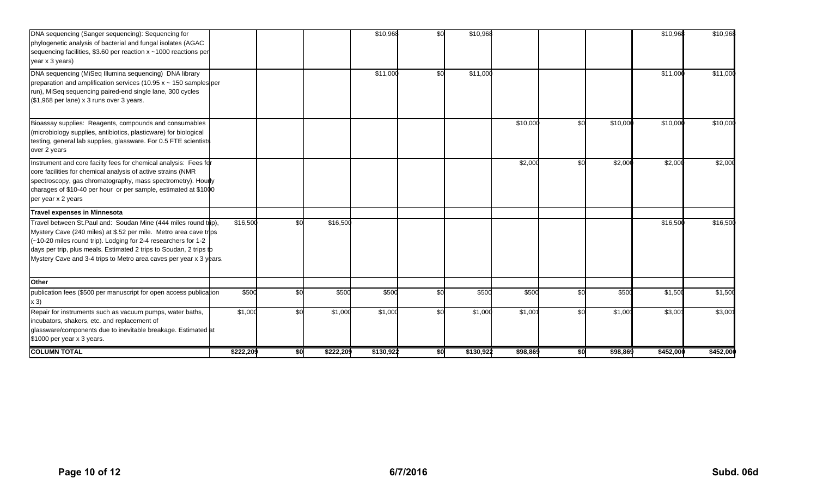| DNA sequencing (Sanger sequencing): Sequencing for<br>phylogenetic analysis of bacterial and fungal isolates (AGAC<br>sequencing facilities, \$3.60 per reaction x ~1000 reactions per<br>year x 3 years)                                                                                                                                           |           |     |           | \$10,968  | \$0 | \$10,968  |          |     |          | \$10,968  | \$10,968  |
|-----------------------------------------------------------------------------------------------------------------------------------------------------------------------------------------------------------------------------------------------------------------------------------------------------------------------------------------------------|-----------|-----|-----------|-----------|-----|-----------|----------|-----|----------|-----------|-----------|
| DNA sequencing (MiSeq Illumina sequencing) DNA library<br>preparation and amplification services (10.95 $x \sim 150$ samples per<br>run), MiSeq sequencing paired-end single lane, 300 cycles<br>(\$1,968 per lane) x 3 runs over 3 years.                                                                                                          |           |     |           | \$11,000  | \$0 | \$11,000  |          |     |          | \$11,00   | \$11,000  |
| Bioassay supplies: Reagents, compounds and consumables<br>(microbiology supplies, antibiotics, plasticware) for biological<br>testing, general lab supplies, glassware. For 0.5 FTE scientists<br>over 2 years                                                                                                                                      |           |     |           |           |     |           | \$10,000 | \$0 | \$10,000 | \$10,00   | \$10,000  |
| Instrument and core facilty fees for chemical analysis: Fees for<br>core facilities for chemical analysis of active strains (NMR<br>spectroscopy, gas chromatography, mass spectrometry). Hourly<br>charages of \$10-40 per hour or per sample, estimated at \$1000<br>per year x 2 years                                                           |           |     |           |           |     |           | \$2,000  | \$0 | \$2,000  | \$2,00    | \$2,000   |
| <b>Travel expenses in Minnesota</b>                                                                                                                                                                                                                                                                                                                 |           |     |           |           |     |           |          |     |          |           |           |
| Travel between St. Paul and: Soudan Mine (444 miles round trip),<br>Mystery Cave (240 miles) at \$.52 per mile. Metro area cave trips<br>(~10-20 miles round trip). Lodging for 2-4 researchers for 1-2<br>days per trip, plus meals. Estimated 2 trips to Soudan, 2 trips to<br>Mystery Cave and 3-4 trips to Metro area caves per year x 3 years. | \$16,500  | \$0 | \$16,500  |           |     |           |          |     |          | \$16,50   | \$16,500  |
| Other                                                                                                                                                                                                                                                                                                                                               |           |     |           |           |     |           |          |     |          |           |           |
| publication fees (\$500 per manuscript for open access publication<br>x 3)                                                                                                                                                                                                                                                                          | \$500     | \$0 | \$500     | \$500     | \$0 | \$500     | \$500    | \$0 | \$500    | \$1,500   | \$1,500   |
| Repair for instruments such as vacuum pumps, water baths,<br>incubators, shakers, etc. and replacement of<br>glassware/components due to inevitable breakage. Estimated at<br>\$1000 per year x 3 years.                                                                                                                                            | \$1,000   | \$0 | \$1,000   | \$1,000   | \$0 | \$1,000   | \$1,001  | \$0 | \$1,00'  | \$3,00    | \$3,00'   |
| <b>COLUMN TOTAL</b>                                                                                                                                                                                                                                                                                                                                 | \$222,209 | \$0 | \$222,209 | \$130,922 | \$0 | \$130,922 | \$98,869 | \$0 | \$98,869 | \$452,000 | \$452,000 |